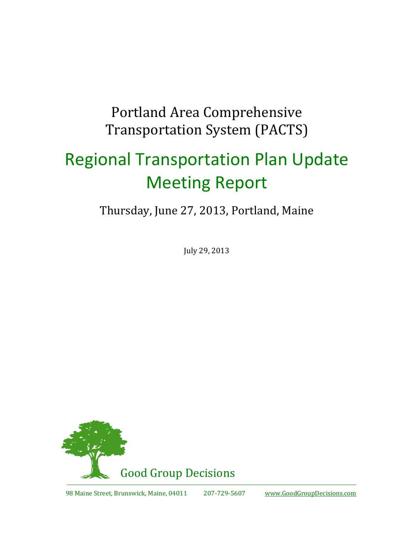# Portland Area Comprehensive Transportation System (PACTS)

# Regional Transportation Plan Update Meeting Report

Thursday, June 27, 2013, Portland, Maine

July 29, 2013

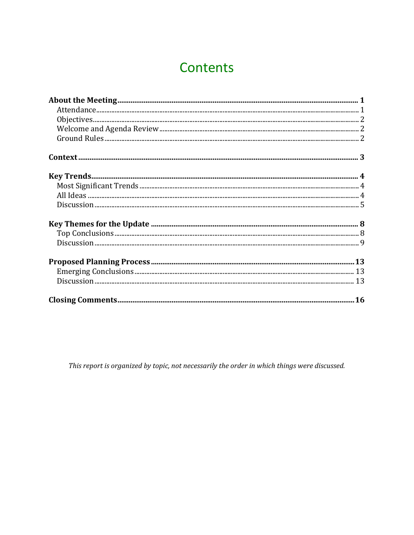# Contents

This report is organized by topic, not necessarily the order in which things were discussed.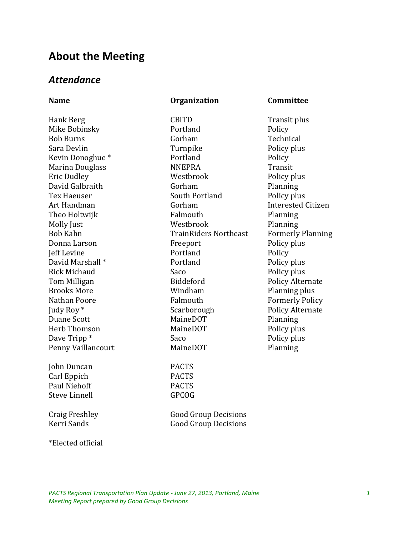#### **About the Meeting**

#### *Attendance*

#### **Name Organization Committee**

Hank Berg CBITD CRITD Transit plus Mike Bobinsky **Portland** Policy Bob Burns Gorham Technical Sara Devlin Turnpike Policy plus Kevin Donoghue \* Portland Policy Marina Douglass **NNEPRA** Transit Eric Dudley Westbrook Policy plus David Galbraith Gorham Gorham Planning Tex Haeuser South Portland Policy plus Art Handman **Interested Citizen** Gorham **Interested Citizen** Theo Holtwijk **Falmouth** Falmouth Planning Molly Just **Molly Just** Westbrook **Planning** Bob Kahn TrainRiders Northeast Formerly Planning Donna Larson **Freeport** Policy plus Jeff Levine Portland Policy David Marshall \* Portland Policy plus Rick Michaud Saco Policy plus Tom Milligan Biddeford Policy Alternate Brooks More **No. 2018** Windham **Planning plus** Nathan Poore **Falmouth** Falmouth Formerly Policy Judy Roy \* Scarborough Policy Alternate Duane Scott MaineDOT Planning Herb Thomson MaineDOT Policy plus Dave Tripp \* Saco Policy plus Penny Vaillancourt MaineDOT Planning John Duncan PACTS

Carl Eppich PACTS Paul Niehoff PACTS Steve Linnell GPCOG

Craig Freshley Good Group Decisions Kerri Sands Good Group Decisions

\*Elected official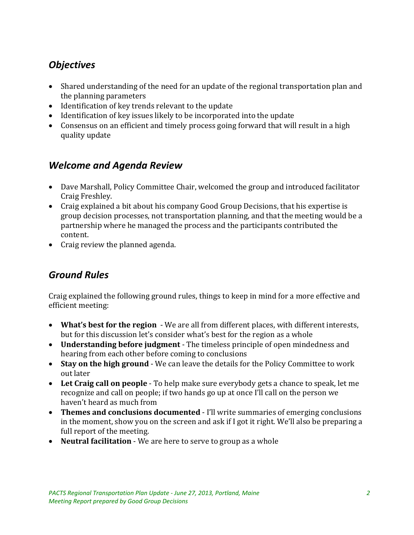### *Objectives*

- Shared understanding of the need for an update of the regional transportation plan and the planning parameters
- Identification of key trends relevant to the update
- Identification of key issues likely to be incorporated into the update
- Consensus on an efficient and timely process going forward that will result in a high quality update

#### *Welcome and Agenda Review*

- Dave Marshall, Policy Committee Chair, welcomed the group and introduced facilitator Craig Freshley.
- Craig explained a bit about his company Good Group Decisions, that his expertise is group decision processes, not transportation planning, and that the meeting would be a partnership where he managed the process and the participants contributed the content.
- Craig review the planned agenda.

#### *Ground Rules*

Craig explained the following ground rules, things to keep in mind for a more effective and efficient meeting:

- **What's best for the region** We are all from different places, with different interests, but for this discussion let's consider what's best for the region as a whole
- **Understanding before judgment** The timeless principle of open mindedness and hearing from each other before coming to conclusions
- **Stay on the high ground** We can leave the details for the Policy Committee to work out later
- **Let Craig call on people** To help make sure everybody gets a chance to speak, let me recognize and call on people; if two hands go up at once I'll call on the person we haven't heard as much from
- **Themes and conclusions documented** I'll write summaries of emerging conclusions in the moment, show you on the screen and ask if I got it right. We'll also be preparing a full report of the meeting.
- **Neutral facilitation** We are here to serve to group as a whole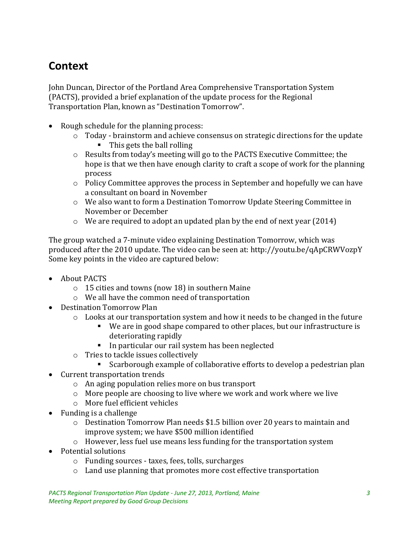# **Context**

John Duncan, Director of the Portland Area Comprehensive Transportation System (PACTS), provided a brief explanation of the update process for the Regional Transportation Plan, known as "Destination Tomorrow".

- Rough schedule for the planning process:
	- o Today brainstorm and achieve consensus on strategic directions for the update
		- $\blacksquare$  This gets the ball rolling
	- $\circ$  Results from today's meeting will go to the PACTS Executive Committee; the hope is that we then have enough clarity to craft a scope of work for the planning process
	- o Policy Committee approves the process in September and hopefully we can have a consultant on board in November
	- o We also want to form a Destination Tomorrow Update Steering Committee in November or December
	- o We are required to adopt an updated plan by the end of next year (2014)

The group watched a 7-minute video explaining Destination Tomorrow, which was produced after the 2010 update. The video can be seen at: http://youtu.be/qApCRWVozpY Some key points in the video are captured below:

- About PACTS
	- o 15 cities and towns (now 18) in southern Maine
	- o We all have the common need of transportation
- Destination Tomorrow Plan
	- $\circ$  Looks at our transportation system and how it needs to be changed in the future
		- We are in good shape compared to other places, but our infrastructure is deteriorating rapidly
		- In particular our rail system has been neglected
	- o Tries to tackle issues collectively
		- Scarborough example of collaborative efforts to develop a pedestrian plan
- Current transportation trends
	- o An aging population relies more on bus transport
	- o More people are choosing to live where we work and work where we live
	- o More fuel efficient vehicles
- Funding is a challenge
	- o Destination Tomorrow Plan needs \$1.5 billion over 20 years to maintain and improve system; we have \$500 million identified
	- o However, less fuel use means less funding for the transportation system
- Potential solutions
	- o Funding sources taxes, fees, tolls, surcharges
	- o Land use planning that promotes more cost effective transportation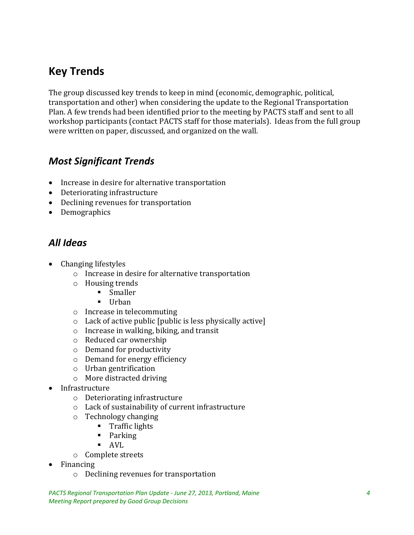# **Key Trends**

The group discussed key trends to keep in mind (economic, demographic, political, transportation and other) when considering the update to the Regional Transportation Plan. A few trends had been identified prior to the meeting by PACTS staff and sent to all workshop participants (contact PACTS staff for those materials). Ideas from the full group were written on paper, discussed, and organized on the wall.

#### *Most Significant Trends*

- Increase in desire for alternative transportation
- Deteriorating infrastructure
- Declining revenues for transportation
- Demographics

#### *All Ideas*

- Changing lifestyles
	- o Increase in desire for alternative transportation
	- o Housing trends
		- **Smaller**
		- $\blacksquare$  Urban
	- o Increase in telecommuting
	- o Lack of active public [public is less physically active]
	- o Increase in walking, biking, and transit
	- o Reduced car ownership
	- o Demand for productivity
	- o Demand for energy efficiency
	- o Urban gentrification
	- o More distracted driving
- Infrastructure
	- o Deteriorating infrastructure
	- o Lack of sustainability of current infrastructure
	- o Technology changing
		- **Traffic lights**
		- **Parking**
		- AVL
	- o Complete streets
- Financing
	- o Declining revenues for transportation

*PACTS Regional Transportation Plan Update - June 27, 2013, Portland, Maine 4 Meeting Report prepared by Good Group Decisions*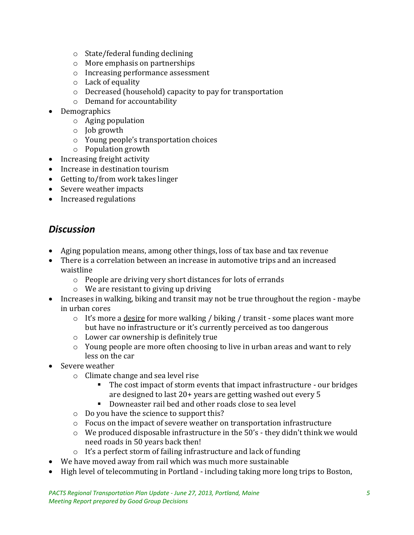- o State/federal funding declining
- o More emphasis on partnerships
- o Increasing performance assessment
- o Lack of equality
- o Decreased (household) capacity to pay for transportation
- o Demand for accountability
- Demographics
	- o Aging population
	- o Job growth
	- o Young people's transportation choices
	- o Population growth
- Increasing freight activity
- Increase in destination tourism
- Getting to/from work takes linger
- Severe weather impacts
- Increased regulations

#### *Discussion*

- Aging population means, among other things, loss of tax base and tax revenue
- There is a correlation between an increase in automotive trips and an increased waistline
	- o People are driving very short distances for lots of errands
	- o We are resistant to giving up driving
- Increases in walking, biking and transit may not be true throughout the region maybe in urban cores
	- $\circ$  It's more a <u>desire</u> for more walking / biking / transit some places want more but have no infrastructure or it's currently perceived as too dangerous
	- o Lower car ownership is definitely true
	- o Young people are more often choosing to live in urban areas and want to rely less on the car
- Severe weather
	- o Climate change and sea level rise
		- The cost impact of storm events that impact infrastructure our bridges are designed to last 20+ years are getting washed out every 5
		- **Downeaster rail bed and other roads close to sea level**
	- o Do you have the science to support this?
	- o Focus on the impact of severe weather on transportation infrastructure
	- o We produced disposable infrastructure in the 50's they didn't think we would need roads in 50 years back then!
	- o It's a perfect storm of failing infrastructure and lack of funding
- We have moved away from rail which was much more sustainable
- High level of telecommuting in Portland including taking more long trips to Boston,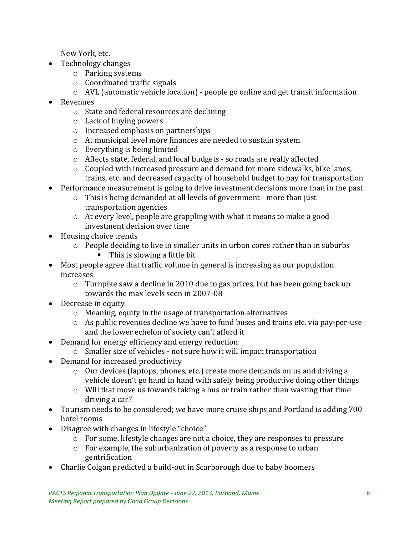New York, etc.

- Technology changes
	- o Parking systems
	- o Coordinated traffic signals
	- o AVL (automatic vehicle location) people go online and get transit information
- Revenues
	- o State and federal resources are declining
	- o Lack of buying powers
	- o Increased emphasis on partnerships
	- o At municipal level more finances are needed to sustain system
	- o Everything is being limited
	- o Affects state, federal, and local budgets so roads are really affected
	- o Coupled with increased pressure and demand for more sidewalks, bike lanes, trains, etc. and decreased capacity of household budget to pay for transportation
- Performance measurement is going to drive investment decisions more than in the past
	- o This is being demanded at all levels of government more than just transportation agencies
	- o At every level, people are grappling with what it means to make a good investment decision over time
- Housing choice trends
	- o People deciding to live in smaller units in urban cores rather than in suburbs ■ This is slowing a little bit
- Most people agree that traffic volume in general is increasing as our population increases
	- o Turnpike saw a decline in 2010 due to gas prices, but has been going back up towards the max levels seen in 2007-08
- Decrease in equity
	- o Meaning, equity in the usage of transportation alternatives
	- o As public revenues decline we have to fund buses and trains etc. via pay-per-use and the lower echelon of society can't afford it
- Demand for energy efficiency and energy reduction
	- o Smaller size of vehicles not sure how it will impact transportation
- Demand for increased productivity
	- o Our devices (laptops, phones, etc.) create more demands on us and driving a vehicle doesn't go hand in hand with safely being productive doing other things
	- o Will that move us towards taking a bus or train rather than wasting that time driving a car?
- Tourism needs to be considered; we have more cruise ships and Portland is adding 700 hotel rooms
- Disagree with changes in lifestyle "choice"
	- o For some, lifestyle changes are not a choice, they are responses to pressure
	- o For example, the suburbanization of poverty as a response to urban gentrification
- Charlie Colgan predicted a build-out in Scarborough due to baby boomers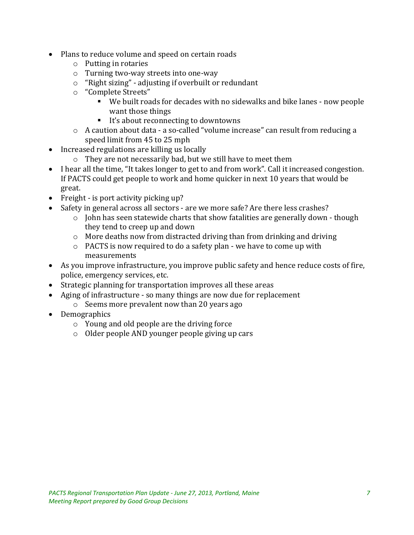- Plans to reduce volume and speed on certain roads
	- o Putting in rotaries
	- o Turning two-way streets into one-way
	- o "Right sizing" adjusting if overbuilt or redundant
	- o "Complete Streets"
		- We built roads for decades with no sidewalks and bike lanes now people want those things
		- It's about reconnecting to downtowns
	- o A caution about data a so-called "volume increase" can result from reducing a speed limit from 45 to 25 mph
- Increased regulations are killing us locally
	- o They are not necessarily bad, but we still have to meet them
- I hear all the time, "It takes longer to get to and from work". Call it increased congestion. If PACTS could get people to work and home quicker in next 10 years that would be great.
- Freight is port activity picking up?
- Safety in general across all sectors are we more safe? Are there less crashes?
	- o John has seen statewide charts that show fatalities are generally down though they tend to creep up and down
	- o More deaths now from distracted driving than from drinking and driving
	- o PACTS is now required to do a safety plan we have to come up with measurements
- As you improve infrastructure, you improve public safety and hence reduce costs of fire, police, emergency services, etc.
- Strategic planning for transportation improves all these areas
- Aging of infrastructure so many things are now due for replacement
	- o Seems more prevalent now than 20 years ago
- Demographics
	- o Young and old people are the driving force
	- o Older people AND younger people giving up cars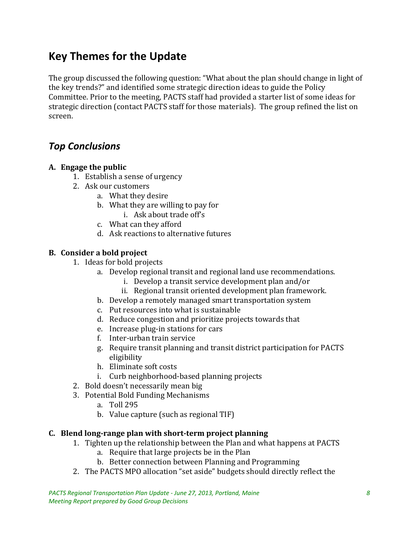# **Key Themes for the Update**

The group discussed the following question: "What about the plan should change in light of the key trends?" and identified some strategic direction ideas to guide the Policy Committee. Prior to the meeting, PACTS staff had provided a starter list of some ideas for strategic direction (contact PACTS staff for those materials). The group refined the list on screen.

#### *Top Conclusions*

#### **A. Engage the public**

- 1. Establish a sense of urgency
- 2. Ask our customers
	- a. What they desire
	- b. What they are willing to pay for
		- i. Ask about trade off's
	- c. What can they afford
	- d. Ask reactions to alternative futures

#### **B. Consider a bold project**

- 1. Ideas for bold projects
	- a. Develop regional transit and regional land use recommendations.
		- i. Develop a transit service development plan and/or
		- ii. Regional transit oriented development plan framework.
	- b. Develop a remotely managed smart transportation system
	- c. Put resources into what is sustainable
	- d. Reduce congestion and prioritize projects towards that
	- e. Increase plug-in stations for cars
	- f. Inter-urban train service
	- g. Require transit planning and transit district participation for PACTS eligibility
	- h. Eliminate soft costs
	- i. Curb neighborhood-based planning projects
- 2. Bold doesn't necessarily mean big
- 3. Potential Bold Funding Mechanisms
	- a. Toll 295
	- b. Value capture (such as regional TIF)

#### **C. Blend long-range plan with short-term project planning**

- 1. Tighten up the relationship between the Plan and what happens at PACTS
	- a. Require that large projects be in the Plan
	- b. Better connection between Planning and Programming
- 2. The PACTS MPO allocation "set aside" budgets should directly reflect the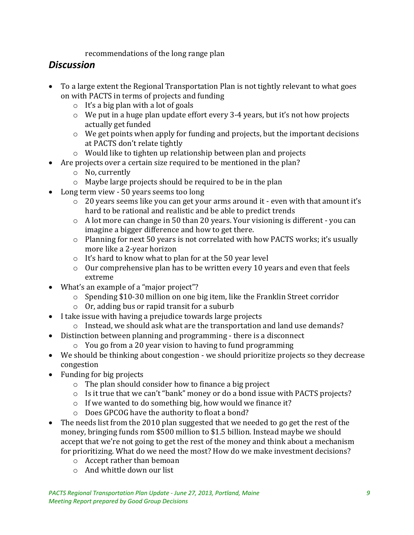recommendations of the long range plan

#### *Discussion*

- To a large extent the Regional Transportation Plan is not tightly relevant to what goes on with PACTS in terms of projects and funding
	- $\circ$  It's a big plan with a lot of goals
	- o We put in a huge plan update effort every 3-4 years, but it's not how projects actually get funded
	- o We get points when apply for funding and projects, but the important decisions at PACTS don't relate tightly
	- o Would like to tighten up relationship between plan and projects
- Are projects over a certain size required to be mentioned in the plan?
	- o No, currently
	- o Maybe large projects should be required to be in the plan
- Long term view 50 years seems too long
	- $\circ$  20 years seems like you can get your arms around it even with that amount it's hard to be rational and realistic and be able to predict trends
	- o A lot more can change in 50 than 20 years. Your visioning is different you can imagine a bigger difference and how to get there.
	- o Planning for next 50 years is not correlated with how PACTS works; it's usually more like a 2-year horizon
	- o It's hard to know what to plan for at the 50 year level
	- o Our comprehensive plan has to be written every 10 years and even that feels extreme
- What's an example of a "major project"?
	- o Spending \$10-30 million on one big item, like the Franklin Street corridor
	- o Or, adding bus or rapid transit for a suburb
- I take issue with having a prejudice towards large projects
	- o Instead, we should ask what are the transportation and land use demands?
- Distinction between planning and programming there is a disconnect
	- o You go from a 20 year vision to having to fund programming
- We should be thinking about congestion we should prioritize projects so they decrease congestion
- Funding for big projects
	- o The plan should consider how to finance a big project
	- o Is it true that we can't "bank" money or do a bond issue with PACTS projects?
	- o If we wanted to do something big, how would we finance it?
	- o Does GPCOG have the authority to float a bond?
- The needs list from the 2010 plan suggested that we needed to go get the rest of the money, bringing funds rom \$500 million to \$1.5 billion. Instead maybe we should accept that we're not going to get the rest of the money and think about a mechanism for prioritizing. What do we need the most? How do we make investment decisions?
	- o Accept rather than bemoan
	- o And whittle down our list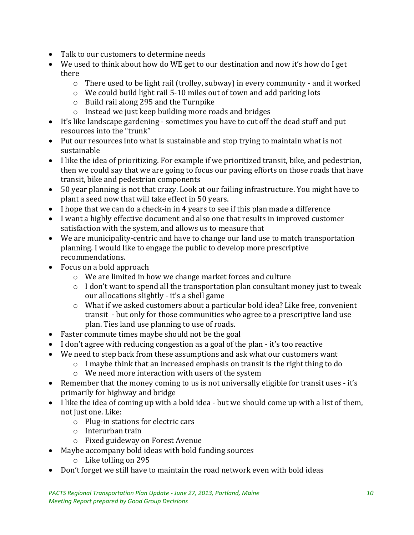- Talk to our customers to determine needs
- We used to think about how do WE get to our destination and now it's how do I get there
	- $\circ$  There used to be light rail (trolley, subway) in every community and it worked
	- o We could build light rail 5-10 miles out of town and add parking lots
	- o Build rail along 295 and the Turnpike
	- o Instead we just keep building more roads and bridges
- It's like landscape gardening sometimes you have to cut off the dead stuff and put resources into the "trunk"
- Put our resources into what is sustainable and stop trying to maintain what is not sustainable
- I like the idea of prioritizing. For example if we prioritized transit, bike, and pedestrian, then we could say that we are going to focus our paving efforts on those roads that have transit, bike and pedestrian components
- 50 year planning is not that crazy. Look at our failing infrastructure. You might have to plant a seed now that will take effect in 50 years.
- I hope that we can do a check-in in 4 years to see if this plan made a difference
- I want a highly effective document and also one that results in improved customer satisfaction with the system, and allows us to measure that
- We are municipality-centric and have to change our land use to match transportation planning. I would like to engage the public to develop more prescriptive recommendations.
- Focus on a bold approach
	- o We are limited in how we change market forces and culture
	- o I don't want to spend all the transportation plan consultant money just to tweak our allocations slightly - it's a shell game
	- o What if we asked customers about a particular bold idea? Like free, convenient transit - but only for those communities who agree to a prescriptive land use plan. Ties land use planning to use of roads.
- Faster commute times maybe should not be the goal
- I don't agree with reducing congestion as a goal of the plan it's too reactive
- We need to step back from these assumptions and ask what our customers want
	- o I maybe think that an increased emphasis on transit is the right thing to do
	- o We need more interaction with users of the system
- Remember that the money coming to us is not universally eligible for transit uses it's primarily for highway and bridge
- I like the idea of coming up with a bold idea but we should come up with a list of them, not just one. Like:
	- o Plug-in stations for electric cars
	- o Interurban train
	- o Fixed guideway on Forest Avenue
- Maybe accompany bold ideas with bold funding sources
	- o Like tolling on 295
- Don't forget we still have to maintain the road network even with bold ideas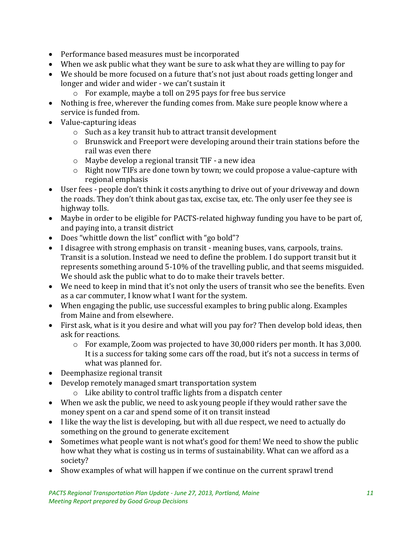- Performance based measures must be incorporated
- When we ask public what they want be sure to ask what they are willing to pay for
- We should be more focused on a future that's not just about roads getting longer and longer and wider and wider - we can't sustain it
	- o For example, maybe a toll on 295 pays for free bus service
- Nothing is free, wherever the funding comes from. Make sure people know where a service is funded from.
- Value-capturing ideas
	- o Such as a key transit hub to attract transit development
	- o Brunswick and Freeport were developing around their train stations before the rail was even there
	- o Maybe develop a regional transit TIF a new idea
	- o Right now TIFs are done town by town; we could propose a value-capture with regional emphasis
- User fees people don't think it costs anything to drive out of your driveway and down the roads. They don't think about gas tax, excise tax, etc. The only user fee they see is highway tolls.
- Maybe in order to be eligible for PACTS-related highway funding you have to be part of, and paying into, a transit district
- Does "whittle down the list" conflict with "go bold"?
- I disagree with strong emphasis on transit meaning buses, vans, carpools, trains. Transit is a solution. Instead we need to define the problem. I do support transit but it represents something around 5-10% of the travelling public, and that seems misguided. We should ask the public what to do to make their travels better.
- We need to keep in mind that it's not only the users of transit who see the benefits. Even as a car commuter, I know what I want for the system.
- When engaging the public, use successful examples to bring public along. Examples from Maine and from elsewhere.
- First ask, what is it you desire and what will you pay for? Then develop bold ideas, then ask for reactions.
	- $\circ$  For example, Zoom was projected to have 30,000 riders per month. It has 3,000. It is a success for taking some cars off the road, but it's not a success in terms of what was planned for.
- Deemphasize regional transit
- Develop remotely managed smart transportation system
	- o Like ability to control traffic lights from a dispatch center
- When we ask the public, we need to ask young people if they would rather save the money spent on a car and spend some of it on transit instead
- I like the way the list is developing, but with all due respect, we need to actually do something on the ground to generate excitement
- Sometimes what people want is not what's good for them! We need to show the public how what they what is costing us in terms of sustainability. What can we afford as a society?
- Show examples of what will happen if we continue on the current sprawl trend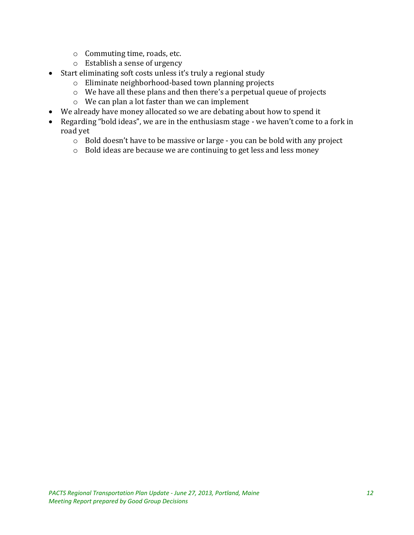- o Commuting time, roads, etc.
- o Establish a sense of urgency
- Start eliminating soft costs unless it's truly a regional study
	- o Eliminate neighborhood-based town planning projects
		- o We have all these plans and then there's a perpetual queue of projects
		- o We can plan a lot faster than we can implement
- We already have money allocated so we are debating about how to spend it
- Regarding "bold ideas", we are in the enthusiasm stage we haven't come to a fork in road yet
	- o Bold doesn't have to be massive or large you can be bold with any project
	- o Bold ideas are because we are continuing to get less and less money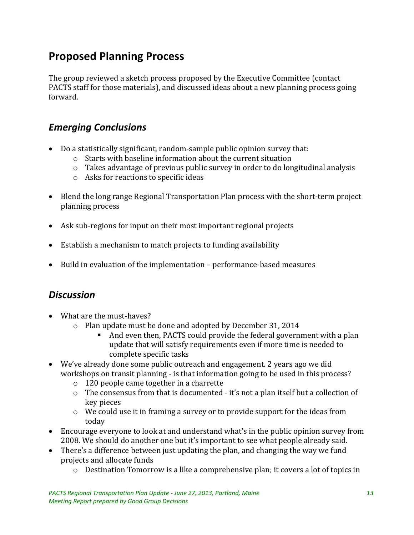# **Proposed Planning Process**

The group reviewed a sketch process proposed by the Executive Committee (contact PACTS staff for those materials), and discussed ideas about a new planning process going forward.

#### *Emerging Conclusions*

- Do a statistically significant, random-sample public opinion survey that:
	- o Starts with baseline information about the current situation
	- o Takes advantage of previous public survey in order to do longitudinal analysis
	- o Asks for reactions to specific ideas
- Blend the long range Regional Transportation Plan process with the short-term project planning process
- Ask sub-regions for input on their most important regional projects
- Establish a mechanism to match projects to funding availability
- Build in evaluation of the implementation performance-based measures

#### *Discussion*

- What are the must-haves?
	- o Plan update must be done and adopted by December 31, 2014
		- And even then, PACTS could provide the federal government with a plan update that will satisfy requirements even if more time is needed to complete specific tasks
- We've already done some public outreach and engagement. 2 years ago we did workshops on transit planning - is that information going to be used in this process?
	- o 120 people came together in a charrette
	- o The consensus from that is documented it's not a plan itself but a collection of key pieces
	- o We could use it in framing a survey or to provide support for the ideas from today
- Encourage everyone to look at and understand what's in the public opinion survey from 2008. We should do another one but it's important to see what people already said.
- There's a difference between just updating the plan, and changing the way we fund projects and allocate funds
	- $\circ$  Destination Tomorrow is a like a comprehensive plan; it covers a lot of topics in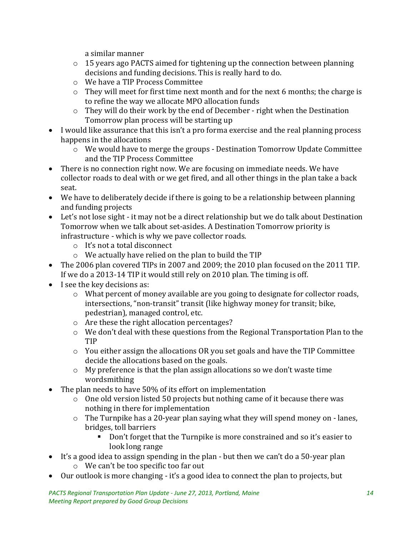a similar manner

- o 15 years ago PACTS aimed for tightening up the connection between planning decisions and funding decisions. This is really hard to do.
- o We have a TIP Process Committee
- o They will meet for first time next month and for the next 6 months; the charge is to refine the way we allocate MPO allocation funds
- o They will do their work by the end of December right when the Destination Tomorrow plan process will be starting up
- I would like assurance that this isn't a pro forma exercise and the real planning process happens in the allocations
	- o We would have to merge the groups Destination Tomorrow Update Committee and the TIP Process Committee
- There is no connection right now. We are focusing on immediate needs. We have collector roads to deal with or we get fired, and all other things in the plan take a back seat.
- We have to deliberately decide if there is going to be a relationship between planning and funding projects
- Let's not lose sight it may not be a direct relationship but we do talk about Destination Tomorrow when we talk about set-asides. A Destination Tomorrow priority is infrastructure - which is why we pave collector roads.
	- o It's not a total disconnect
	- o We actually have relied on the plan to build the TIP
- The 2006 plan covered TIPs in 2007 and 2009; the 2010 plan focused on the 2011 TIP. If we do a 2013-14 TIP it would still rely on 2010 plan. The timing is off.
- I see the key decisions as:
	- o What percent of money available are you going to designate for collector roads, intersections, "non-transit" transit (like highway money for transit; bike, pedestrian), managed control, etc.
	- o Are these the right allocation percentages?
	- o We don't deal with these questions from the Regional Transportation Plan to the TIP
	- $\circ$  You either assign the allocations OR you set goals and have the TIP Committee decide the allocations based on the goals.
	- $\circ$  My preference is that the plan assign allocations so we don't waste time wordsmithing
- The plan needs to have 50% of its effort on implementation
	- o One old version listed 50 projects but nothing came of it because there was nothing in there for implementation
	- o The Turnpike has a 20-year plan saying what they will spend money on lanes, bridges, toll barriers
		- Don't forget that the Turnpike is more constrained and so it's easier to look long range
- It's a good idea to assign spending in the plan but then we can't do a 50-year plan o We can't be too specific too far out
- Our outlook is more changing it's a good idea to connect the plan to projects, but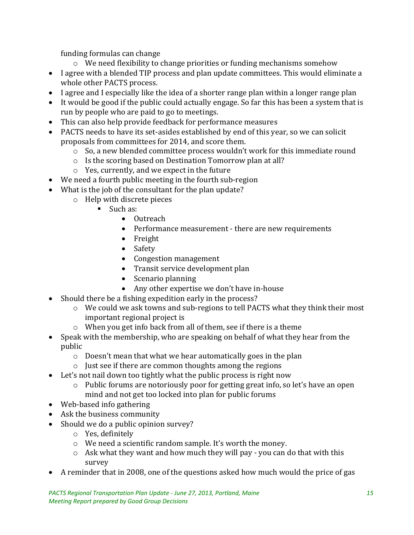funding formulas can change

- o We need flexibility to change priorities or funding mechanisms somehow
- I agree with a blended TIP process and plan update committees. This would eliminate a whole other PACTS process.
- I agree and I especially like the idea of a shorter range plan within a longer range plan
- It would be good if the public could actually engage. So far this has been a system that is run by people who are paid to go to meetings.
- This can also help provide feedback for performance measures
- PACTS needs to have its set-asides established by end of this year, so we can solicit proposals from committees for 2014, and score them.
	- o So, a new blended committee process wouldn't work for this immediate round
	- o Is the scoring based on Destination Tomorrow plan at all?
	- o Yes, currently, and we expect in the future
- We need a fourth public meeting in the fourth sub-region
- What is the job of the consultant for the plan update?
	- o Help with discrete pieces
		- **Such as:** 
			- Outreach
			- Performance measurement there are new requirements
			- Freight
			- Safety
			- Congestion management
			- Transit service development plan
			- Scenario planning
			- Any other expertise we don't have in-house
- Should there be a fishing expedition early in the process?
	- o We could we ask towns and sub-regions to tell PACTS what they think their most important regional project is
	- o When you get info back from all of them, see if there is a theme
- Speak with the membership, who are speaking on behalf of what they hear from the public
	- o Doesn't mean that what we hear automatically goes in the plan
	- o Just see if there are common thoughts among the regions
- Let's not nail down too tightly what the public process is right now
	- o Public forums are notoriously poor for getting great info, so let's have an open mind and not get too locked into plan for public forums
- Web-based info gathering
- Ask the business community
- Should we do a public opinion survey?
	- o Yes, definitely
	- o We need a scientific random sample. It's worth the money.
	- o Ask what they want and how much they will pay you can do that with this survey
- A reminder that in 2008, one of the questions asked how much would the price of gas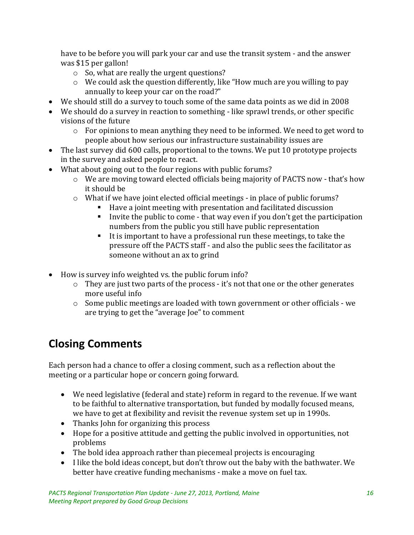have to be before you will park your car and use the transit system - and the answer was \$15 per gallon!

- o So, what are really the urgent questions?
- o We could ask the question differently, like "How much are you willing to pay annually to keep your car on the road?"
- We should still do a survey to touch some of the same data points as we did in 2008
- We should do a survey in reaction to something like sprawl trends, or other specific visions of the future
	- $\circ$  For opinions to mean anything they need to be informed. We need to get word to people about how serious our infrastructure sustainability issues are
- The last survey did 600 calls, proportional to the towns. We put 10 prototype projects in the survey and asked people to react.
- What about going out to the four regions with public forums?
	- o We are moving toward elected officials being majority of PACTS now that's how it should be
	- $\circ$  What if we have joint elected official meetings in place of public forums?
		- Have a joint meeting with presentation and facilitated discussion
			- Invite the public to come that way even if you don't get the participation numbers from the public you still have public representation
			- It is important to have a professional run these meetings, to take the pressure off the PACTS staff - and also the public sees the facilitator as someone without an ax to grind
- How is survey info weighted vs. the public forum info?
	- o They are just two parts of the process it's not that one or the other generates more useful info
	- $\circ$  Some public meetings are loaded with town government or other officials we are trying to get the "average Joe" to comment

# **Closing Comments**

Each person had a chance to offer a closing comment, such as a reflection about the meeting or a particular hope or concern going forward.

- We need legislative (federal and state) reform in regard to the revenue. If we want to be faithful to alternative transportation, but funded by modally focused means, we have to get at flexibility and revisit the revenue system set up in 1990s.
- Thanks John for organizing this process
- Hope for a positive attitude and getting the public involved in opportunities, not problems
- The bold idea approach rather than piecemeal projects is encouraging
- I like the bold ideas concept, but don't throw out the baby with the bathwater. We better have creative funding mechanisms - make a move on fuel tax.